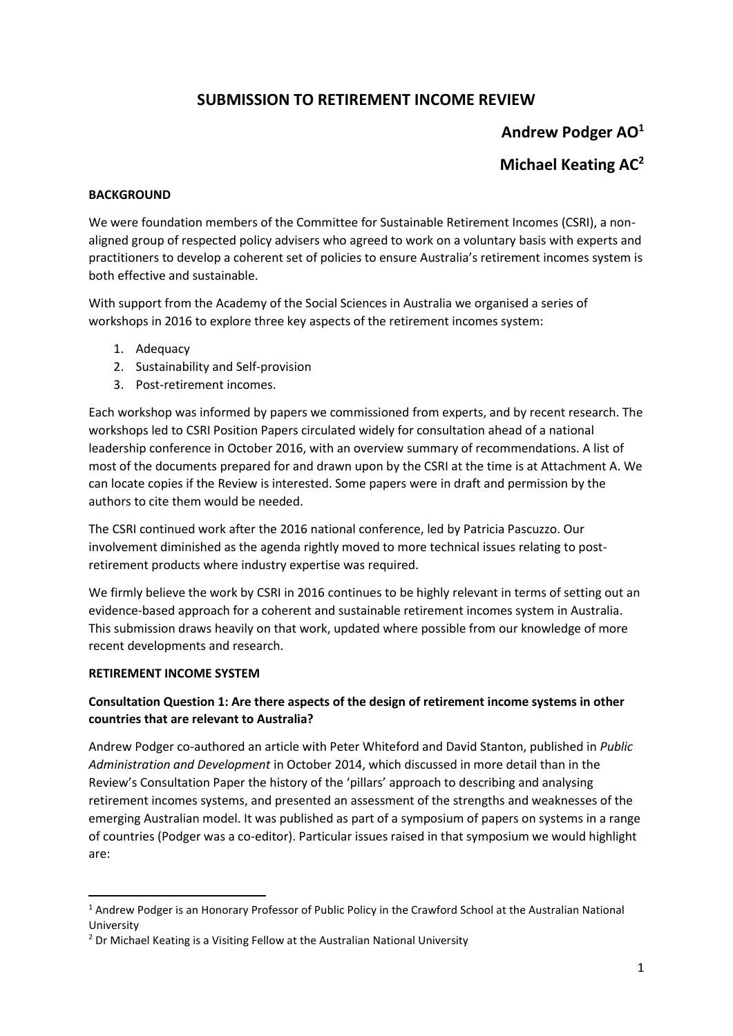# **SUBMISSION TO RETIREMENT INCOME REVIEW**

# **Andrew Podger AO<sup>1</sup>**

# **Michael Keating AC<sup>2</sup>**

# **BACKGROUND**

We were foundation members of the Committee for Sustainable Retirement Incomes (CSRI), a nonaligned group of respected policy advisers who agreed to work on a voluntary basis with experts and practitioners to develop a coherent set of policies to ensure Australia's retirement incomes system is both effective and sustainable.

With support from the Academy of the Social Sciences in Australia we organised a series of workshops in 2016 to explore three key aspects of the retirement incomes system:

- 1. Adequacy
- 2. Sustainability and Self-provision
- 3. Post-retirement incomes.

Each workshop was informed by papers we commissioned from experts, and by recent research. The workshops led to CSRI Position Papers circulated widely for consultation ahead of a national leadership conference in October 2016, with an overview summary of recommendations. A list of most of the documents prepared for and drawn upon by the CSRI at the time is at Attachment A. We can locate copies if the Review is interested. Some papers were in draft and permission by the authors to cite them would be needed.

The CSRI continued work after the 2016 national conference, led by Patricia Pascuzzo. Our involvement diminished as the agenda rightly moved to more technical issues relating to postretirement products where industry expertise was required.

We firmly believe the work by CSRI in 2016 continues to be highly relevant in terms of setting out an evidence-based approach for a coherent and sustainable retirement incomes system in Australia. This submission draws heavily on that work, updated where possible from our knowledge of more recent developments and research.

#### **RETIREMENT INCOME SYSTEM**

**.** 

# **Consultation Question 1: Are there aspects of the design of retirement income systems in other countries that are relevant to Australia?**

Andrew Podger co-authored an article with Peter Whiteford and David Stanton, published in *Public Administration and Development* in October 2014, which discussed in more detail than in the Review's Consultation Paper the history of the 'pillars' approach to describing and analysing retirement incomes systems, and presented an assessment of the strengths and weaknesses of the emerging Australian model. It was published as part of a symposium of papers on systems in a range of countries (Podger was a co-editor). Particular issues raised in that symposium we would highlight are:

<sup>&</sup>lt;sup>1</sup> Andrew Podger is an Honorary Professor of Public Policy in the Crawford School at the Australian National University

<sup>&</sup>lt;sup>2</sup> Dr Michael Keating is a Visiting Fellow at the Australian National University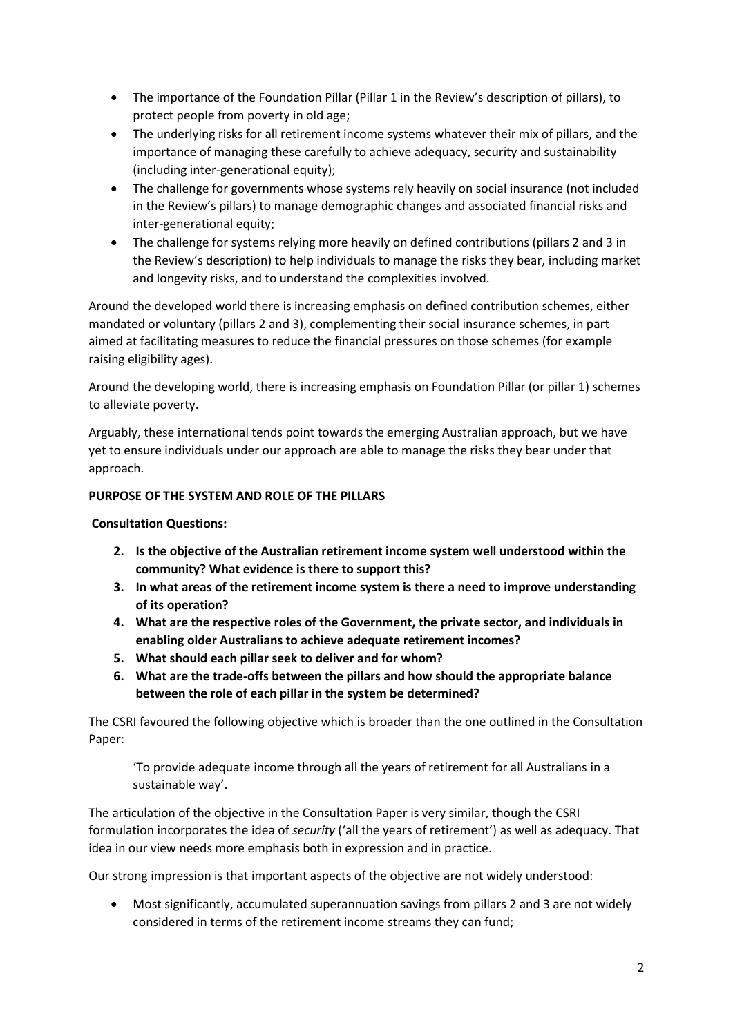- The importance of the Foundation Pillar (Pillar 1 in the Review's description of pillars), to protect people from poverty in old age;
- The underlying risks for all retirement income systems whatever their mix of pillars, and the importance of managing these carefully to achieve adequacy, security and sustainability (including inter-generational equity);
- The challenge for governments whose systems rely heavily on social insurance (not included in the Review's pillars) to manage demographic changes and associated financial risks and inter-generational equity;
- The challenge for systems relying more heavily on defined contributions (pillars 2 and 3 in the Review's description) to help individuals to manage the risks they bear, including market and longevity risks, and to understand the complexities involved.

Around the developed world there is increasing emphasis on defined contribution schemes, either mandated or voluntary (pillars 2 and 3), complementing their social insurance schemes, in part aimed at facilitating measures to reduce the financial pressures on those schemes (for example raising eligibility ages).

Around the developing world, there is increasing emphasis on Foundation Pillar (or pillar 1) schemes to alleviate poverty.

Arguably, these international tends point towards the emerging Australian approach, but we have yet to ensure individuals under our approach are able to manage the risks they bear under that approach.

# **PURPOSE OF THE SYSTEM AND ROLE OF THE PILLARS**

**Consultation Questions:**

- **2. Is the objective of the Australian retirement income system well understood within the community? What evidence is there to support this?**
- **3. In what areas of the retirement income system is there a need to improve understanding of its operation?**
- **4. What are the respective roles of the Government, the private sector, and individuals in enabling older Australians to achieve adequate retirement incomes?**
- **5. What should each pillar seek to deliver and for whom?**
- **6. What are the trade-offs between the pillars and how should the appropriate balance between the role of each pillar in the system be determined?**

The CSRI favoured the following objective which is broader than the one outlined in the Consultation Paper:

'To provide adequate income through all the years of retirement for all Australians in a sustainable way'.

The articulation of the objective in the Consultation Paper is very similar, though the CSRI formulation incorporates the idea of *security* ('all the years of retirement') as well as adequacy. That idea in our view needs more emphasis both in expression and in practice.

Our strong impression is that important aspects of the objective are not widely understood:

 Most significantly, accumulated superannuation savings from pillars 2 and 3 are not widely considered in terms of the retirement income streams they can fund;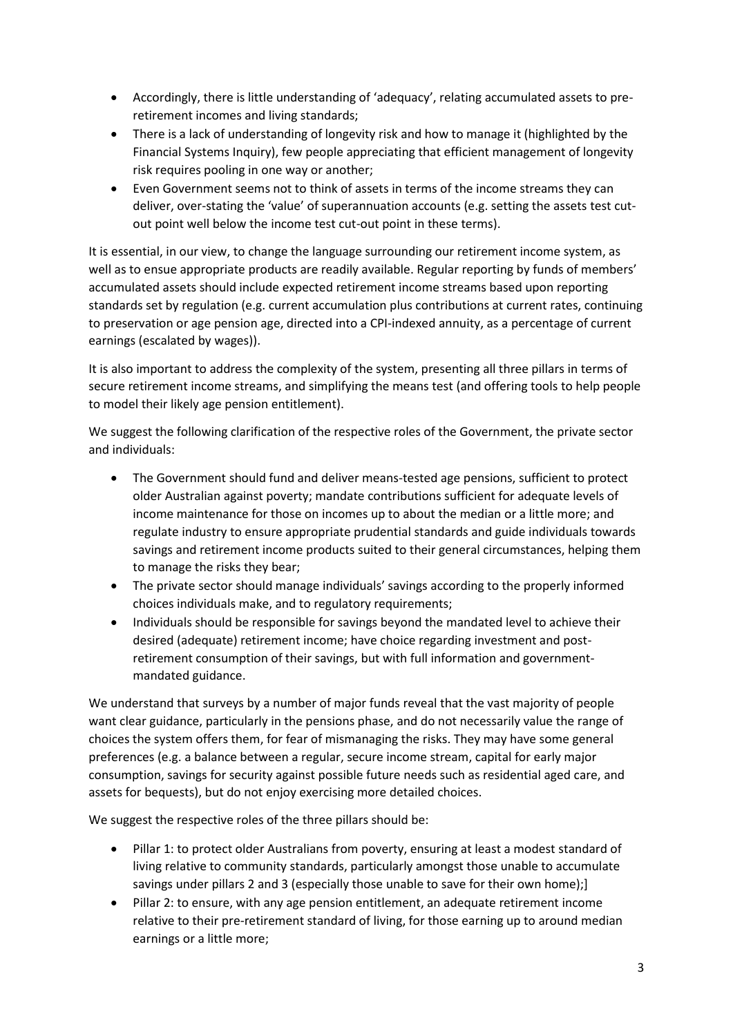- Accordingly, there is little understanding of 'adequacy', relating accumulated assets to preretirement incomes and living standards;
- There is a lack of understanding of longevity risk and how to manage it (highlighted by the Financial Systems Inquiry), few people appreciating that efficient management of longevity risk requires pooling in one way or another;
- Even Government seems not to think of assets in terms of the income streams they can deliver, over-stating the 'value' of superannuation accounts (e.g. setting the assets test cutout point well below the income test cut-out point in these terms).

It is essential, in our view, to change the language surrounding our retirement income system, as well as to ensue appropriate products are readily available. Regular reporting by funds of members' accumulated assets should include expected retirement income streams based upon reporting standards set by regulation (e.g. current accumulation plus contributions at current rates, continuing to preservation or age pension age, directed into a CPI-indexed annuity, as a percentage of current earnings (escalated by wages)).

It is also important to address the complexity of the system, presenting all three pillars in terms of secure retirement income streams, and simplifying the means test (and offering tools to help people to model their likely age pension entitlement).

We suggest the following clarification of the respective roles of the Government, the private sector and individuals:

- The Government should fund and deliver means-tested age pensions, sufficient to protect older Australian against poverty; mandate contributions sufficient for adequate levels of income maintenance for those on incomes up to about the median or a little more; and regulate industry to ensure appropriate prudential standards and guide individuals towards savings and retirement income products suited to their general circumstances, helping them to manage the risks they bear;
- The private sector should manage individuals' savings according to the properly informed choices individuals make, and to regulatory requirements;
- Individuals should be responsible for savings beyond the mandated level to achieve their desired (adequate) retirement income; have choice regarding investment and postretirement consumption of their savings, but with full information and governmentmandated guidance.

We understand that surveys by a number of major funds reveal that the vast majority of people want clear guidance, particularly in the pensions phase, and do not necessarily value the range of choices the system offers them, for fear of mismanaging the risks. They may have some general preferences (e.g. a balance between a regular, secure income stream, capital for early major consumption, savings for security against possible future needs such as residential aged care, and assets for bequests), but do not enjoy exercising more detailed choices.

We suggest the respective roles of the three pillars should be:

- Pillar 1: to protect older Australians from poverty, ensuring at least a modest standard of living relative to community standards, particularly amongst those unable to accumulate savings under pillars 2 and 3 (especially those unable to save for their own home);]
- Pillar 2: to ensure, with any age pension entitlement, an adequate retirement income relative to their pre-retirement standard of living, for those earning up to around median earnings or a little more;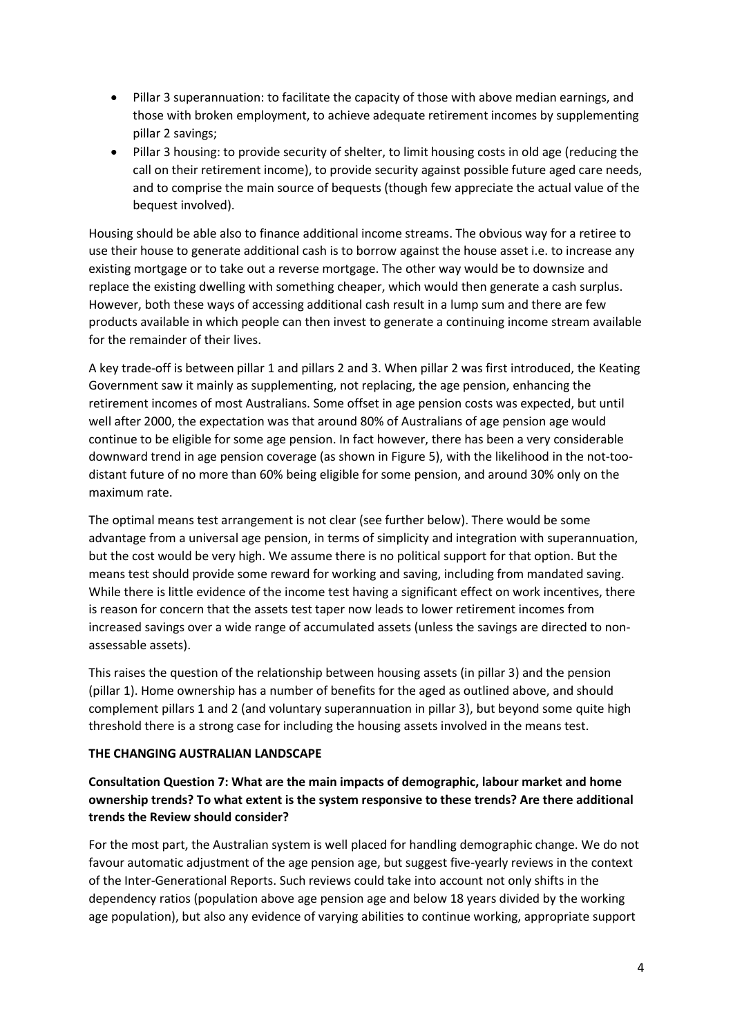- Pillar 3 superannuation: to facilitate the capacity of those with above median earnings, and those with broken employment, to achieve adequate retirement incomes by supplementing pillar 2 savings;
- Pillar 3 housing: to provide security of shelter, to limit housing costs in old age (reducing the call on their retirement income), to provide security against possible future aged care needs, and to comprise the main source of bequests (though few appreciate the actual value of the bequest involved).

Housing should be able also to finance additional income streams. The obvious way for a retiree to use their house to generate additional cash is to borrow against the house asset i.e. to increase any existing mortgage or to take out a reverse mortgage. The other way would be to downsize and replace the existing dwelling with something cheaper, which would then generate a cash surplus. However, both these ways of accessing additional cash result in a lump sum and there are few products available in which people can then invest to generate a continuing income stream available for the remainder of their lives.

A key trade-off is between pillar 1 and pillars 2 and 3. When pillar 2 was first introduced, the Keating Government saw it mainly as supplementing, not replacing, the age pension, enhancing the retirement incomes of most Australians. Some offset in age pension costs was expected, but until well after 2000, the expectation was that around 80% of Australians of age pension age would continue to be eligible for some age pension. In fact however, there has been a very considerable downward trend in age pension coverage (as shown in Figure 5), with the likelihood in the not-toodistant future of no more than 60% being eligible for some pension, and around 30% only on the maximum rate.

The optimal means test arrangement is not clear (see further below). There would be some advantage from a universal age pension, in terms of simplicity and integration with superannuation, but the cost would be very high. We assume there is no political support for that option. But the means test should provide some reward for working and saving, including from mandated saving. While there is little evidence of the income test having a significant effect on work incentives, there is reason for concern that the assets test taper now leads to lower retirement incomes from increased savings over a wide range of accumulated assets (unless the savings are directed to nonassessable assets).

This raises the question of the relationship between housing assets (in pillar 3) and the pension (pillar 1). Home ownership has a number of benefits for the aged as outlined above, and should complement pillars 1 and 2 (and voluntary superannuation in pillar 3), but beyond some quite high threshold there is a strong case for including the housing assets involved in the means test.

#### **THE CHANGING AUSTRALIAN LANDSCAPE**

**Consultation Question 7: What are the main impacts of demographic, labour market and home ownership trends? To what extent is the system responsive to these trends? Are there additional trends the Review should consider?**

For the most part, the Australian system is well placed for handling demographic change. We do not favour automatic adjustment of the age pension age, but suggest five-yearly reviews in the context of the Inter-Generational Reports. Such reviews could take into account not only shifts in the dependency ratios (population above age pension age and below 18 years divided by the working age population), but also any evidence of varying abilities to continue working, appropriate support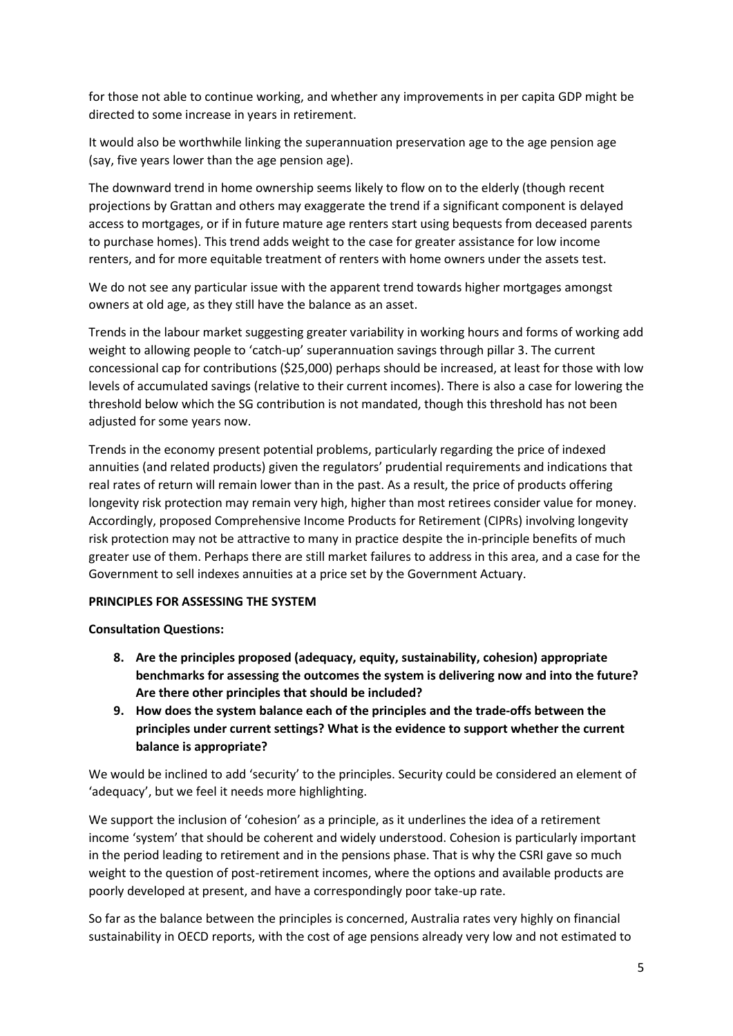for those not able to continue working, and whether any improvements in per capita GDP might be directed to some increase in years in retirement.

It would also be worthwhile linking the superannuation preservation age to the age pension age (say, five years lower than the age pension age).

The downward trend in home ownership seems likely to flow on to the elderly (though recent projections by Grattan and others may exaggerate the trend if a significant component is delayed access to mortgages, or if in future mature age renters start using bequests from deceased parents to purchase homes). This trend adds weight to the case for greater assistance for low income renters, and for more equitable treatment of renters with home owners under the assets test.

We do not see any particular issue with the apparent trend towards higher mortgages amongst owners at old age, as they still have the balance as an asset.

Trends in the labour market suggesting greater variability in working hours and forms of working add weight to allowing people to 'catch-up' superannuation savings through pillar 3. The current concessional cap for contributions (\$25,000) perhaps should be increased, at least for those with low levels of accumulated savings (relative to their current incomes). There is also a case for lowering the threshold below which the SG contribution is not mandated, though this threshold has not been adjusted for some years now.

Trends in the economy present potential problems, particularly regarding the price of indexed annuities (and related products) given the regulators' prudential requirements and indications that real rates of return will remain lower than in the past. As a result, the price of products offering longevity risk protection may remain very high, higher than most retirees consider value for money. Accordingly, proposed Comprehensive Income Products for Retirement (CIPRs) involving longevity risk protection may not be attractive to many in practice despite the in-principle benefits of much greater use of them. Perhaps there are still market failures to address in this area, and a case for the Government to sell indexes annuities at a price set by the Government Actuary.

#### **PRINCIPLES FOR ASSESSING THE SYSTEM**

# **Consultation Questions:**

- **8. Are the principles proposed (adequacy, equity, sustainability, cohesion) appropriate benchmarks for assessing the outcomes the system is delivering now and into the future? Are there other principles that should be included?**
- **9. How does the system balance each of the principles and the trade-offs between the principles under current settings? What is the evidence to support whether the current balance is appropriate?**

We would be inclined to add 'security' to the principles. Security could be considered an element of 'adequacy', but we feel it needs more highlighting.

We support the inclusion of 'cohesion' as a principle, as it underlines the idea of a retirement income 'system' that should be coherent and widely understood. Cohesion is particularly important in the period leading to retirement and in the pensions phase. That is why the CSRI gave so much weight to the question of post-retirement incomes, where the options and available products are poorly developed at present, and have a correspondingly poor take-up rate.

So far as the balance between the principles is concerned, Australia rates very highly on financial sustainability in OECD reports, with the cost of age pensions already very low and not estimated to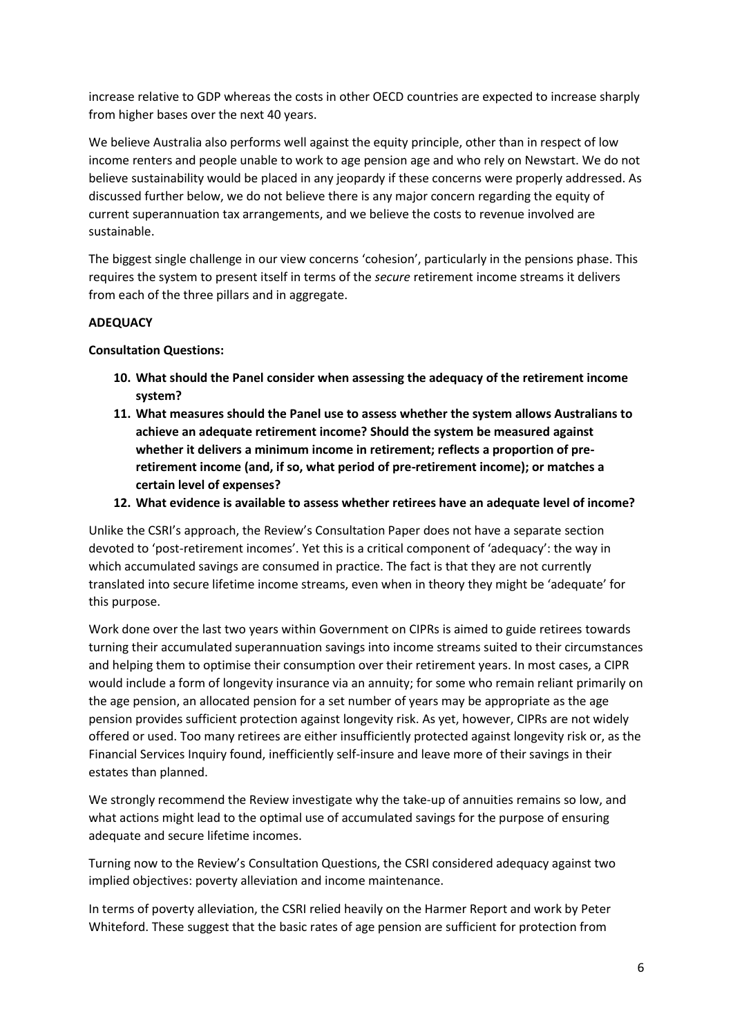increase relative to GDP whereas the costs in other OECD countries are expected to increase sharply from higher bases over the next 40 years.

We believe Australia also performs well against the equity principle, other than in respect of low income renters and people unable to work to age pension age and who rely on Newstart. We do not believe sustainability would be placed in any jeopardy if these concerns were properly addressed. As discussed further below, we do not believe there is any major concern regarding the equity of current superannuation tax arrangements, and we believe the costs to revenue involved are sustainable.

The biggest single challenge in our view concerns 'cohesion', particularly in the pensions phase. This requires the system to present itself in terms of the *secure* retirement income streams it delivers from each of the three pillars and in aggregate.

# **ADEQUACY**

**Consultation Questions:**

- **10. What should the Panel consider when assessing the adequacy of the retirement income system?**
- **11. What measures should the Panel use to assess whether the system allows Australians to achieve an adequate retirement income? Should the system be measured against whether it delivers a minimum income in retirement; reflects a proportion of preretirement income (and, if so, what period of pre-retirement income); or matches a certain level of expenses?**
- **12. What evidence is available to assess whether retirees have an adequate level of income?**

Unlike the CSRI's approach, the Review's Consultation Paper does not have a separate section devoted to 'post-retirement incomes'. Yet this is a critical component of 'adequacy': the way in which accumulated savings are consumed in practice. The fact is that they are not currently translated into secure lifetime income streams, even when in theory they might be 'adequate' for this purpose.

Work done over the last two years within Government on CIPRs is aimed to guide retirees towards turning their accumulated superannuation savings into income streams suited to their circumstances and helping them to optimise their consumption over their retirement years. In most cases, a CIPR would include a form of longevity insurance via an annuity; for some who remain reliant primarily on the age pension, an allocated pension for a set number of years may be appropriate as the age pension provides sufficient protection against longevity risk. As yet, however, CIPRs are not widely offered or used. Too many retirees are either insufficiently protected against longevity risk or, as the Financial Services Inquiry found, inefficiently self-insure and leave more of their savings in their estates than planned.

We strongly recommend the Review investigate why the take-up of annuities remains so low, and what actions might lead to the optimal use of accumulated savings for the purpose of ensuring adequate and secure lifetime incomes.

Turning now to the Review's Consultation Questions, the CSRI considered adequacy against two implied objectives: poverty alleviation and income maintenance.

In terms of poverty alleviation, the CSRI relied heavily on the Harmer Report and work by Peter Whiteford. These suggest that the basic rates of age pension are sufficient for protection from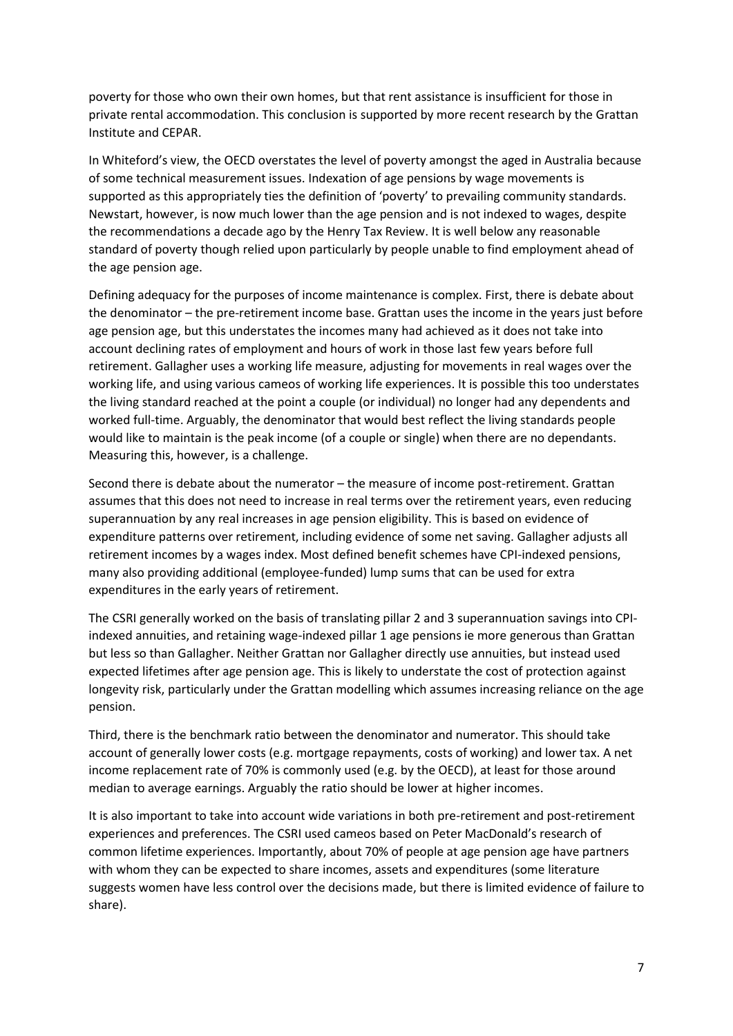poverty for those who own their own homes, but that rent assistance is insufficient for those in private rental accommodation. This conclusion is supported by more recent research by the Grattan Institute and CEPAR.

In Whiteford's view, the OECD overstates the level of poverty amongst the aged in Australia because of some technical measurement issues. Indexation of age pensions by wage movements is supported as this appropriately ties the definition of 'poverty' to prevailing community standards. Newstart, however, is now much lower than the age pension and is not indexed to wages, despite the recommendations a decade ago by the Henry Tax Review. It is well below any reasonable standard of poverty though relied upon particularly by people unable to find employment ahead of the age pension age.

Defining adequacy for the purposes of income maintenance is complex. First, there is debate about the denominator – the pre-retirement income base. Grattan uses the income in the years just before age pension age, but this understates the incomes many had achieved as it does not take into account declining rates of employment and hours of work in those last few years before full retirement. Gallagher uses a working life measure, adjusting for movements in real wages over the working life, and using various cameos of working life experiences. It is possible this too understates the living standard reached at the point a couple (or individual) no longer had any dependents and worked full-time. Arguably, the denominator that would best reflect the living standards people would like to maintain is the peak income (of a couple or single) when there are no dependants. Measuring this, however, is a challenge.

Second there is debate about the numerator – the measure of income post-retirement. Grattan assumes that this does not need to increase in real terms over the retirement years, even reducing superannuation by any real increases in age pension eligibility. This is based on evidence of expenditure patterns over retirement, including evidence of some net saving. Gallagher adjusts all retirement incomes by a wages index. Most defined benefit schemes have CPI-indexed pensions, many also providing additional (employee-funded) lump sums that can be used for extra expenditures in the early years of retirement.

The CSRI generally worked on the basis of translating pillar 2 and 3 superannuation savings into CPIindexed annuities, and retaining wage-indexed pillar 1 age pensions ie more generous than Grattan but less so than Gallagher. Neither Grattan nor Gallagher directly use annuities, but instead used expected lifetimes after age pension age. This is likely to understate the cost of protection against longevity risk, particularly under the Grattan modelling which assumes increasing reliance on the age pension.

Third, there is the benchmark ratio between the denominator and numerator. This should take account of generally lower costs (e.g. mortgage repayments, costs of working) and lower tax. A net income replacement rate of 70% is commonly used (e.g. by the OECD), at least for those around median to average earnings. Arguably the ratio should be lower at higher incomes.

It is also important to take into account wide variations in both pre-retirement and post-retirement experiences and preferences. The CSRI used cameos based on Peter MacDonald's research of common lifetime experiences. Importantly, about 70% of people at age pension age have partners with whom they can be expected to share incomes, assets and expenditures (some literature suggests women have less control over the decisions made, but there is limited evidence of failure to share).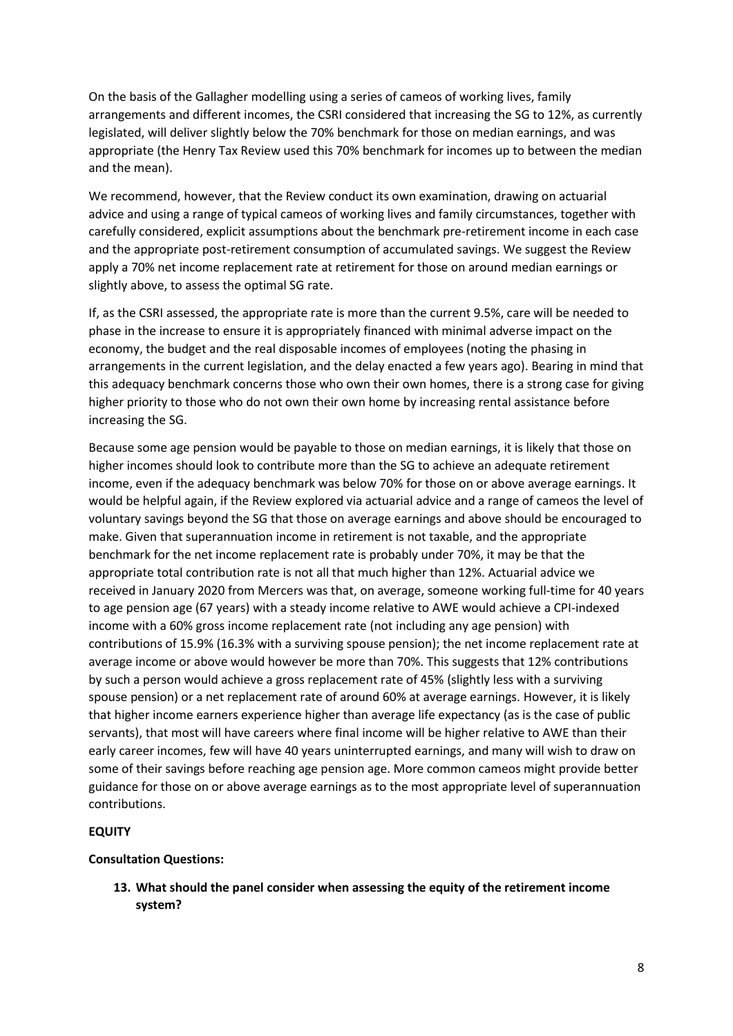On the basis of the Gallagher modelling using a series of cameos of working lives, family arrangements and different incomes, the CSRI considered that increasing the SG to 12%, as currently legislated, will deliver slightly below the 70% benchmark for those on median earnings, and was appropriate (the Henry Tax Review used this 70% benchmark for incomes up to between the median and the mean).

We recommend, however, that the Review conduct its own examination, drawing on actuarial advice and using a range of typical cameos of working lives and family circumstances, together with carefully considered, explicit assumptions about the benchmark pre-retirement income in each case and the appropriate post-retirement consumption of accumulated savings. We suggest the Review apply a 70% net income replacement rate at retirement for those on around median earnings or slightly above, to assess the optimal SG rate.

If, as the CSRI assessed, the appropriate rate is more than the current 9.5%, care will be needed to phase in the increase to ensure it is appropriately financed with minimal adverse impact on the economy, the budget and the real disposable incomes of employees (noting the phasing in arrangements in the current legislation, and the delay enacted a few years ago). Bearing in mind that this adequacy benchmark concerns those who own their own homes, there is a strong case for giving higher priority to those who do not own their own home by increasing rental assistance before increasing the SG.

Because some age pension would be payable to those on median earnings, it is likely that those on higher incomes should look to contribute more than the SG to achieve an adequate retirement income, even if the adequacy benchmark was below 70% for those on or above average earnings. It would be helpful again, if the Review explored via actuarial advice and a range of cameos the level of voluntary savings beyond the SG that those on average earnings and above should be encouraged to make. Given that superannuation income in retirement is not taxable, and the appropriate benchmark for the net income replacement rate is probably under 70%, it may be that the appropriate total contribution rate is not all that much higher than 12%. Actuarial advice we received in January 2020 from Mercers was that, on average, someone working full-time for 40 years to age pension age (67 years) with a steady income relative to AWE would achieve a CPI-indexed income with a 60% gross income replacement rate (not including any age pension) with contributions of 15.9% (16.3% with a surviving spouse pension); the net income replacement rate at average income or above would however be more than 70%. This suggests that 12% contributions by such a person would achieve a gross replacement rate of 45% (slightly less with a surviving spouse pension) or a net replacement rate of around 60% at average earnings. However, it is likely that higher income earners experience higher than average life expectancy (as is the case of public servants), that most will have careers where final income will be higher relative to AWE than their early career incomes, few will have 40 years uninterrupted earnings, and many will wish to draw on some of their savings before reaching age pension age. More common cameos might provide better guidance for those on or above average earnings as to the most appropriate level of superannuation contributions.

#### **EQUITY**

#### **Consultation Questions:**

**13. What should the panel consider when assessing the equity of the retirement income system?**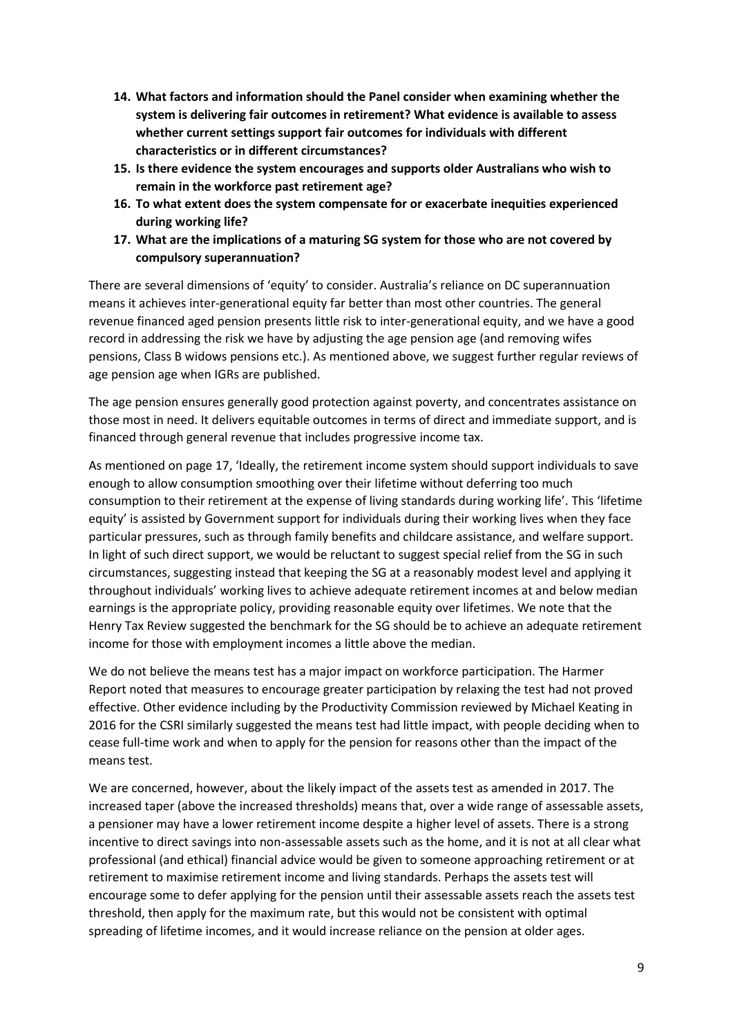- **14. What factors and information should the Panel consider when examining whether the system is delivering fair outcomes in retirement? What evidence is available to assess whether current settings support fair outcomes for individuals with different characteristics or in different circumstances?**
- **15. Is there evidence the system encourages and supports older Australians who wish to remain in the workforce past retirement age?**
- **16. To what extent does the system compensate for or exacerbate inequities experienced during working life?**
- **17. What are the implications of a maturing SG system for those who are not covered by compulsory superannuation?**

There are several dimensions of 'equity' to consider. Australia's reliance on DC superannuation means it achieves inter-generational equity far better than most other countries. The general revenue financed aged pension presents little risk to inter-generational equity, and we have a good record in addressing the risk we have by adjusting the age pension age (and removing wifes pensions, Class B widows pensions etc.). As mentioned above, we suggest further regular reviews of age pension age when IGRs are published.

The age pension ensures generally good protection against poverty, and concentrates assistance on those most in need. It delivers equitable outcomes in terms of direct and immediate support, and is financed through general revenue that includes progressive income tax.

As mentioned on page 17, 'Ideally, the retirement income system should support individuals to save enough to allow consumption smoothing over their lifetime without deferring too much consumption to their retirement at the expense of living standards during working life'. This 'lifetime equity' is assisted by Government support for individuals during their working lives when they face particular pressures, such as through family benefits and childcare assistance, and welfare support. In light of such direct support, we would be reluctant to suggest special relief from the SG in such circumstances, suggesting instead that keeping the SG at a reasonably modest level and applying it throughout individuals' working lives to achieve adequate retirement incomes at and below median earnings is the appropriate policy, providing reasonable equity over lifetimes. We note that the Henry Tax Review suggested the benchmark for the SG should be to achieve an adequate retirement income for those with employment incomes a little above the median.

We do not believe the means test has a major impact on workforce participation. The Harmer Report noted that measures to encourage greater participation by relaxing the test had not proved effective. Other evidence including by the Productivity Commission reviewed by Michael Keating in 2016 for the CSRI similarly suggested the means test had little impact, with people deciding when to cease full-time work and when to apply for the pension for reasons other than the impact of the means test.

We are concerned, however, about the likely impact of the assets test as amended in 2017. The increased taper (above the increased thresholds) means that, over a wide range of assessable assets, a pensioner may have a lower retirement income despite a higher level of assets. There is a strong incentive to direct savings into non-assessable assets such as the home, and it is not at all clear what professional (and ethical) financial advice would be given to someone approaching retirement or at retirement to maximise retirement income and living standards. Perhaps the assets test will encourage some to defer applying for the pension until their assessable assets reach the assets test threshold, then apply for the maximum rate, but this would not be consistent with optimal spreading of lifetime incomes, and it would increase reliance on the pension at older ages.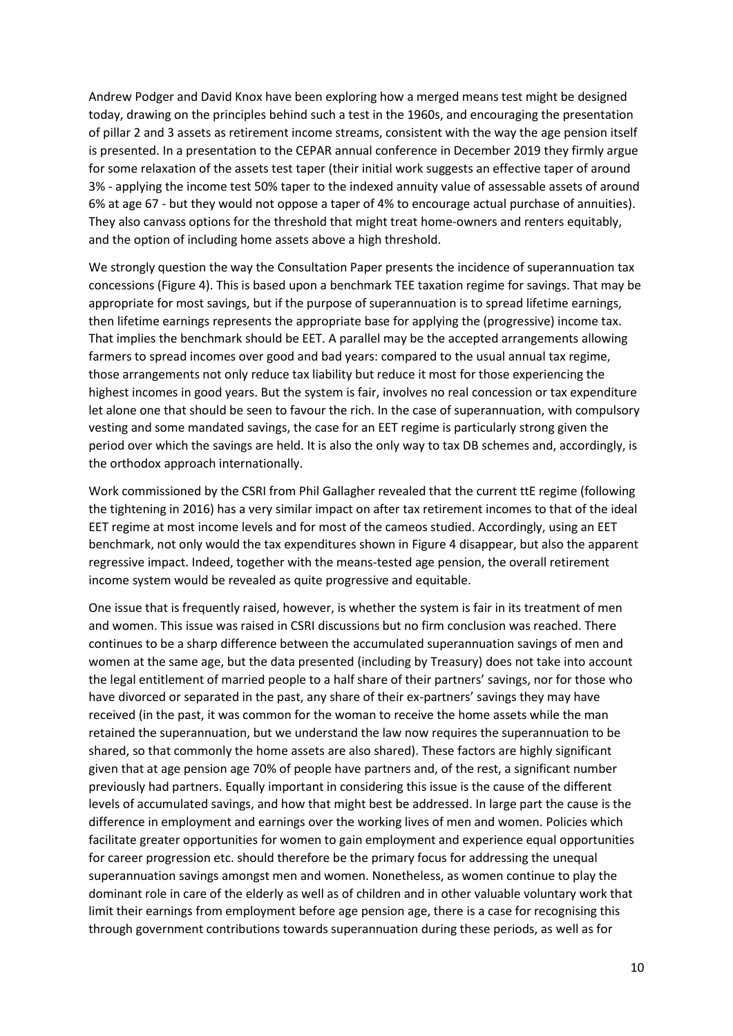Andrew Podger and David Knox have been exploring how a merged means test might be designed today, drawing on the principles behind such a test in the 1960s, and encouraging the presentation of pillar 2 and 3 assets as retirement income streams, consistent with the way the age pension itself is presented. In a presentation to the CEPAR annual conference in December 2019 they firmly argue for some relaxation of the assets test taper (their initial work suggests an effective taper of around 3% - applying the income test 50% taper to the indexed annuity value of assessable assets of around 6% at age 67 - but they would not oppose a taper of 4% to encourage actual purchase of annuities). They also canvass options for the threshold that might treat home-owners and renters equitably, and the option of including home assets above a high threshold.

We strongly question the way the Consultation Paper presents the incidence of superannuation tax concessions (Figure 4). This is based upon a benchmark TEE taxation regime for savings. That may be appropriate for most savings, but if the purpose of superannuation is to spread lifetime earnings, then lifetime earnings represents the appropriate base for applying the (progressive) income tax. That implies the benchmark should be EET. A parallel may be the accepted arrangements allowing farmers to spread incomes over good and bad years: compared to the usual annual tax regime, those arrangements not only reduce tax liability but reduce it most for those experiencing the highest incomes in good years. But the system is fair, involves no real concession or tax expenditure let alone one that should be seen to favour the rich. In the case of superannuation, with compulsory vesting and some mandated savings, the case for an EET regime is particularly strong given the period over which the savings are held. It is also the only way to tax DB schemes and, accordingly, is the orthodox approach internationally.

Work commissioned by the CSRI from Phil Gallagher revealed that the current ttE regime (following the tightening in 2016) has a very similar impact on after tax retirement incomes to that of the ideal EET regime at most income levels and for most of the cameos studied. Accordingly, using an EET benchmark, not only would the tax expenditures shown in Figure 4 disappear, but also the apparent regressive impact. Indeed, together with the means-tested age pension, the overall retirement income system would be revealed as quite progressive and equitable.

One issue that is frequently raised, however, is whether the system is fair in its treatment of men and women. This issue was raised in CSRI discussions but no firm conclusion was reached. There continues to be a sharp difference between the accumulated superannuation savings of men and women at the same age, but the data presented (including by Treasury) does not take into account the legal entitlement of married people to a half share of their partners' savings, nor for those who have divorced or separated in the past, any share of their ex-partners' savings they may have received (in the past, it was common for the woman to receive the home assets while the man retained the superannuation, but we understand the law now requires the superannuation to be shared, so that commonly the home assets are also shared). These factors are highly significant given that at age pension age 70% of people have partners and, of the rest, a significant number previously had partners. Equally important in considering this issue is the cause of the different levels of accumulated savings, and how that might best be addressed. In large part the cause is the difference in employment and earnings over the working lives of men and women. Policies which facilitate greater opportunities for women to gain employment and experience equal opportunities for career progression etc. should therefore be the primary focus for addressing the unequal superannuation savings amongst men and women. Nonetheless, as women continue to play the dominant role in care of the elderly as well as of children and in other valuable voluntary work that limit their earnings from employment before age pension age, there is a case for recognising this through government contributions towards superannuation during these periods, as well as for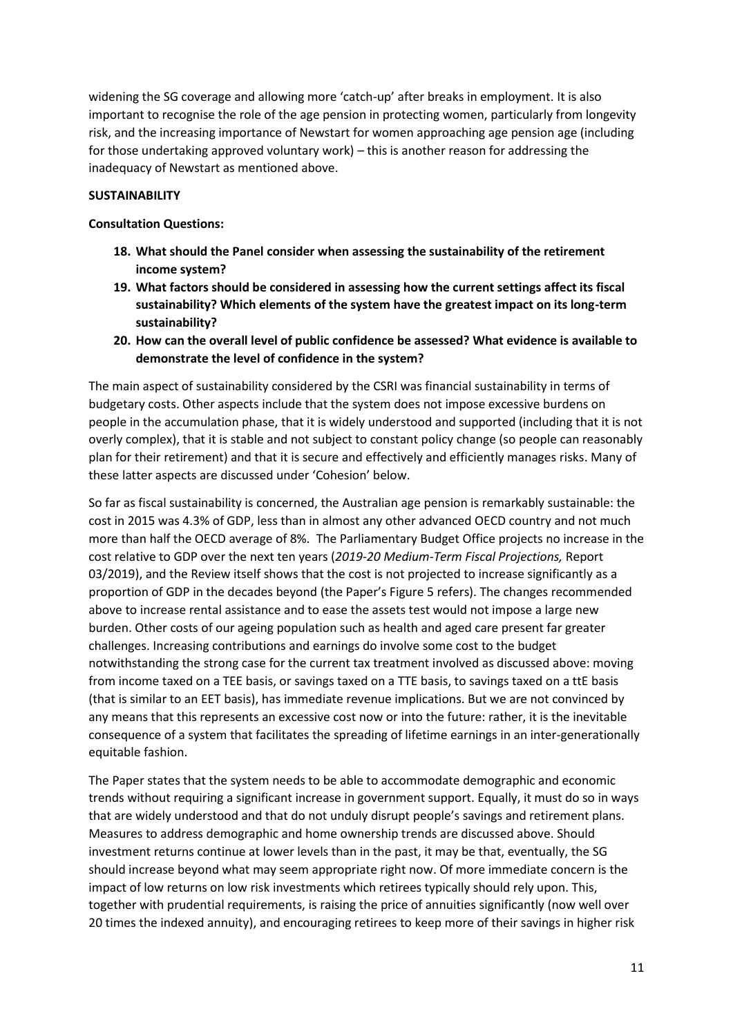widening the SG coverage and allowing more 'catch-up' after breaks in employment. It is also important to recognise the role of the age pension in protecting women, particularly from longevity risk, and the increasing importance of Newstart for women approaching age pension age (including for those undertaking approved voluntary work) – this is another reason for addressing the inadequacy of Newstart as mentioned above.

#### **SUSTAINABILITY**

### **Consultation Questions:**

- **18. What should the Panel consider when assessing the sustainability of the retirement income system?**
- **19. What factors should be considered in assessing how the current settings affect its fiscal sustainability? Which elements of the system have the greatest impact on its long-term sustainability?**
- **20. How can the overall level of public confidence be assessed? What evidence is available to demonstrate the level of confidence in the system?**

The main aspect of sustainability considered by the CSRI was financial sustainability in terms of budgetary costs. Other aspects include that the system does not impose excessive burdens on people in the accumulation phase, that it is widely understood and supported (including that it is not overly complex), that it is stable and not subject to constant policy change (so people can reasonably plan for their retirement) and that it is secure and effectively and efficiently manages risks. Many of these latter aspects are discussed under 'Cohesion' below.

So far as fiscal sustainability is concerned, the Australian age pension is remarkably sustainable: the cost in 2015 was 4.3% of GDP, less than in almost any other advanced OECD country and not much more than half the OECD average of 8%. The Parliamentary Budget Office projects no increase in the cost relative to GDP over the next ten years (*2019-20 Medium-Term Fiscal Projections,* Report 03/2019), and the Review itself shows that the cost is not projected to increase significantly as a proportion of GDP in the decades beyond (the Paper's Figure 5 refers). The changes recommended above to increase rental assistance and to ease the assets test would not impose a large new burden. Other costs of our ageing population such as health and aged care present far greater challenges. Increasing contributions and earnings do involve some cost to the budget notwithstanding the strong case for the current tax treatment involved as discussed above: moving from income taxed on a TEE basis, or savings taxed on a TTE basis, to savings taxed on a ttE basis (that is similar to an EET basis), has immediate revenue implications. But we are not convinced by any means that this represents an excessive cost now or into the future: rather, it is the inevitable consequence of a system that facilitates the spreading of lifetime earnings in an inter-generationally equitable fashion.

The Paper states that the system needs to be able to accommodate demographic and economic trends without requiring a significant increase in government support. Equally, it must do so in ways that are widely understood and that do not unduly disrupt people's savings and retirement plans. Measures to address demographic and home ownership trends are discussed above. Should investment returns continue at lower levels than in the past, it may be that, eventually, the SG should increase beyond what may seem appropriate right now. Of more immediate concern is the impact of low returns on low risk investments which retirees typically should rely upon. This, together with prudential requirements, is raising the price of annuities significantly (now well over 20 times the indexed annuity), and encouraging retirees to keep more of their savings in higher risk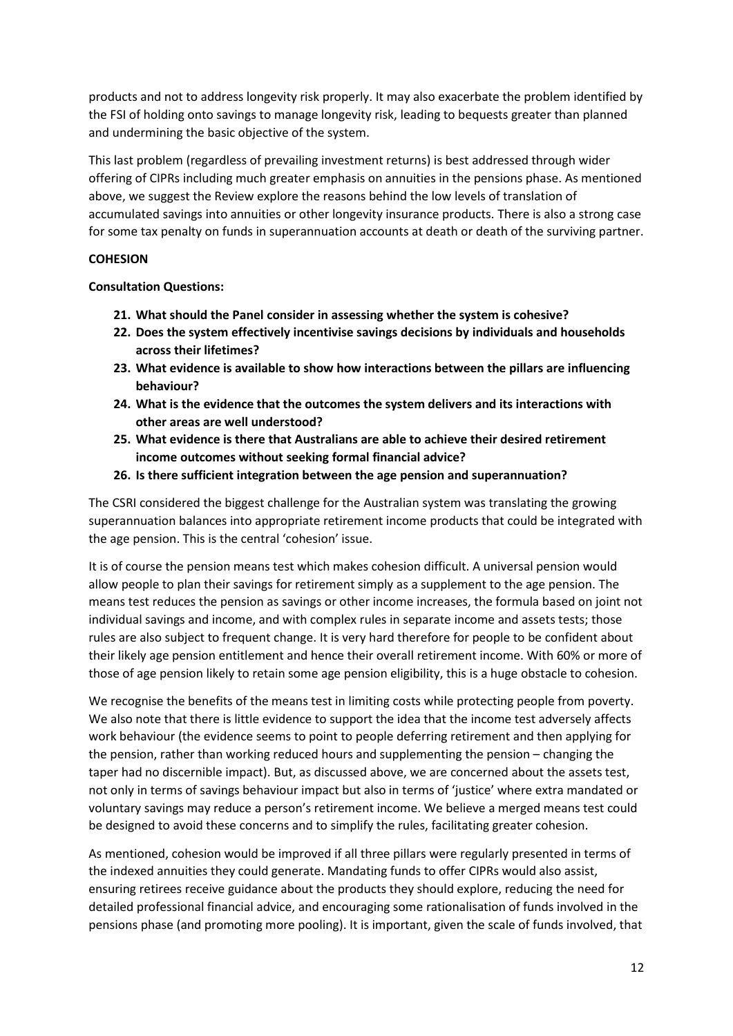products and not to address longevity risk properly. It may also exacerbate the problem identified by the FSI of holding onto savings to manage longevity risk, leading to bequests greater than planned and undermining the basic objective of the system.

This last problem (regardless of prevailing investment returns) is best addressed through wider offering of CIPRs including much greater emphasis on annuities in the pensions phase. As mentioned above, we suggest the Review explore the reasons behind the low levels of translation of accumulated savings into annuities or other longevity insurance products. There is also a strong case for some tax penalty on funds in superannuation accounts at death or death of the surviving partner.

# **COHESION**

# **Consultation Questions:**

- **21. What should the Panel consider in assessing whether the system is cohesive?**
- **22. Does the system effectively incentivise savings decisions by individuals and households across their lifetimes?**
- **23. What evidence is available to show how interactions between the pillars are influencing behaviour?**
- **24. What is the evidence that the outcomes the system delivers and its interactions with other areas are well understood?**
- **25. What evidence is there that Australians are able to achieve their desired retirement income outcomes without seeking formal financial advice?**
- **26. Is there sufficient integration between the age pension and superannuation?**

The CSRI considered the biggest challenge for the Australian system was translating the growing superannuation balances into appropriate retirement income products that could be integrated with the age pension. This is the central 'cohesion' issue.

It is of course the pension means test which makes cohesion difficult. A universal pension would allow people to plan their savings for retirement simply as a supplement to the age pension. The means test reduces the pension as savings or other income increases, the formula based on joint not individual savings and income, and with complex rules in separate income and assets tests; those rules are also subject to frequent change. It is very hard therefore for people to be confident about their likely age pension entitlement and hence their overall retirement income. With 60% or more of those of age pension likely to retain some age pension eligibility, this is a huge obstacle to cohesion.

We recognise the benefits of the means test in limiting costs while protecting people from poverty. We also note that there is little evidence to support the idea that the income test adversely affects work behaviour (the evidence seems to point to people deferring retirement and then applying for the pension, rather than working reduced hours and supplementing the pension – changing the taper had no discernible impact). But, as discussed above, we are concerned about the assets test, not only in terms of savings behaviour impact but also in terms of 'justice' where extra mandated or voluntary savings may reduce a person's retirement income. We believe a merged means test could be designed to avoid these concerns and to simplify the rules, facilitating greater cohesion.

As mentioned, cohesion would be improved if all three pillars were regularly presented in terms of the indexed annuities they could generate. Mandating funds to offer CIPRs would also assist, ensuring retirees receive guidance about the products they should explore, reducing the need for detailed professional financial advice, and encouraging some rationalisation of funds involved in the pensions phase (and promoting more pooling). It is important, given the scale of funds involved, that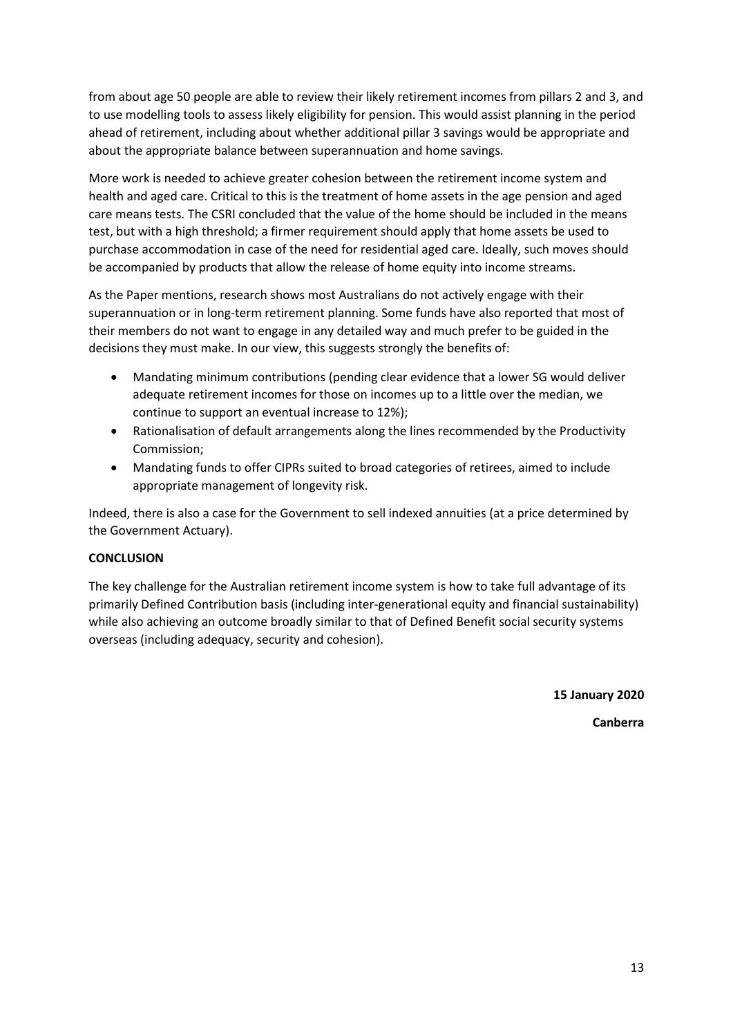from about age 50 people are able to review their likely retirement incomes from pillars 2 and 3, and to use modelling tools to assess likely eligibility for pension. This would assist planning in the period ahead of retirement, including about whether additional pillar 3 savings would be appropriate and about the appropriate balance between superannuation and home savings.

More work is needed to achieve greater cohesion between the retirement income system and health and aged care. Critical to this is the treatment of home assets in the age pension and aged care means tests. The CSRI concluded that the value of the home should be included in the means test, but with a high threshold; a firmer requirement should apply that home assets be used to purchase accommodation in case of the need for residential aged care. Ideally, such moves should be accompanied by products that allow the release of home equity into income streams.

As the Paper mentions, research shows most Australians do not actively engage with their superannuation or in long-term retirement planning. Some funds have also reported that most of their members do not want to engage in any detailed way and much prefer to be guided in the decisions they must make. In our view, this suggests strongly the benefits of:

- Mandating minimum contributions (pending clear evidence that a lower SG would deliver adequate retirement incomes for those on incomes up to a little over the median, we continue to support an eventual increase to 12%);
- Rationalisation of default arrangements along the lines recommended by the Productivity Commission;
- Mandating funds to offer CIPRs suited to broad categories of retirees, aimed to include appropriate management of longevity risk.

Indeed, there is also a case for the Government to sell indexed annuities (at a price determined by the Government Actuary).

# **CONCLUSION**

The key challenge for the Australian retirement income system is how to take full advantage of its primarily Defined Contribution basis (including inter-generational equity and financial sustainability) while also achieving an outcome broadly similar to that of Defined Benefit social security systems overseas (including adequacy, security and cohesion).

**15 January 2020**

**Canberra**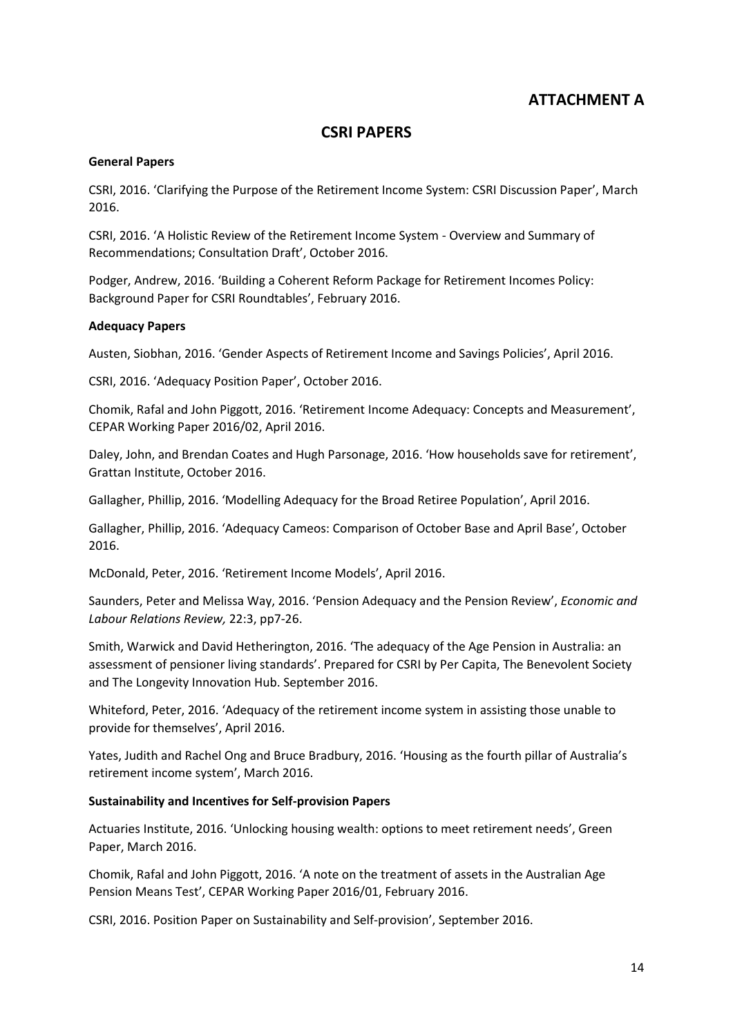# **ATTACHMENT A**

# **CSRI PAPERS**

#### **General Papers**

CSRI, 2016. 'Clarifying the Purpose of the Retirement Income System: CSRI Discussion Paper', March 2016.

CSRI, 2016. 'A Holistic Review of the Retirement Income System - Overview and Summary of Recommendations; Consultation Draft', October 2016.

Podger, Andrew, 2016. 'Building a Coherent Reform Package for Retirement Incomes Policy: Background Paper for CSRI Roundtables', February 2016.

#### **Adequacy Papers**

Austen, Siobhan, 2016. 'Gender Aspects of Retirement Income and Savings Policies', April 2016.

CSRI, 2016. 'Adequacy Position Paper', October 2016.

Chomik, Rafal and John Piggott, 2016. 'Retirement Income Adequacy: Concepts and Measurement', CEPAR Working Paper 2016/02, April 2016.

Daley, John, and Brendan Coates and Hugh Parsonage, 2016. 'How households save for retirement', Grattan Institute, October 2016.

Gallagher, Phillip, 2016. 'Modelling Adequacy for the Broad Retiree Population', April 2016.

Gallagher, Phillip, 2016. 'Adequacy Cameos: Comparison of October Base and April Base', October 2016.

McDonald, Peter, 2016. 'Retirement Income Models', April 2016.

Saunders, Peter and Melissa Way, 2016. 'Pension Adequacy and the Pension Review', *Economic and Labour Relations Review,* 22:3, pp7-26.

Smith, Warwick and David Hetherington, 2016. 'The adequacy of the Age Pension in Australia: an assessment of pensioner living standards'. Prepared for CSRI by Per Capita, The Benevolent Society and The Longevity Innovation Hub. September 2016.

Whiteford, Peter, 2016. 'Adequacy of the retirement income system in assisting those unable to provide for themselves', April 2016.

Yates, Judith and Rachel Ong and Bruce Bradbury, 2016. 'Housing as the fourth pillar of Australia's retirement income system', March 2016.

# **Sustainability and Incentives for Self-provision Papers**

Actuaries Institute, 2016. 'Unlocking housing wealth: options to meet retirement needs', Green Paper, March 2016.

Chomik, Rafal and John Piggott, 2016. 'A note on the treatment of assets in the Australian Age Pension Means Test', CEPAR Working Paper 2016/01, February 2016.

CSRI, 2016. Position Paper on Sustainability and Self-provision', September 2016.